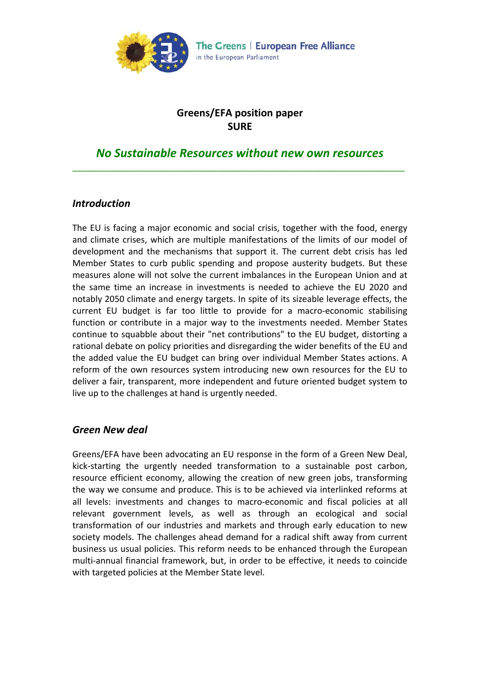

### **Greens/EFA position paper SURE**

# *No Sustainable Resources without new own resources* \_\_\_\_\_\_\_\_\_\_\_\_\_\_\_\_\_\_\_\_\_\_\_\_\_\_\_\_\_\_\_\_\_\_\_\_\_\_\_\_\_\_\_\_\_\_\_\_\_\_\_\_\_\_\_\_\_\_\_\_\_\_\_\_\_\_\_\_\_

#### *Introduction*

The EU is facing a major economic and social crisis, together with the food, energy and climate crises, which are multiple manifestations of the limits of our model of development and the mechanisms that support it. The current debt crisis has led Member States to curb public spending and propose austerity budgets. But these measures alone will not solve the current imbalances in the European Union and at the same time an increase in investments is needed to achieve the EU 2020 and notably 2050 climate and energy targets. In spite of its sizeable leverage effects, the current EU budget is far too little to provide for a macro‐economic stabilising function or contribute in a major way to the investments needed. Member States continue to squabble about their "net contributions" to the EU budget, distorting a rational debate on policy priorities and disregarding the wider benefits of the EU and the added value the EU budget can bring over individual Member States actions. A reform of the own resources system introducing new own resources for the EU to deliver a fair, transparent, more independent and future oriented budget system to live up to the challenges at hand is urgently needed.

#### *Green New deal*

Greens/EFA have been advocating an EU response in the form of a Green New Deal, kick‐starting the urgently needed transformation to a sustainable post carbon, resource efficient economy, allowing the creation of new green jobs, transforming the way we consume and produce. This is to be achieved via interlinked reforms at all levels: investments and changes to macro‐economic and fiscal policies at all relevant government levels, as well as through an ecological and social transformation of our industries and markets and through early education to new society models. The challenges ahead demand for a radical shift away from current business us usual policies. This reform needs to be enhanced through the European multi‐annual financial framework, but, in order to be effective, it needs to coincide with targeted policies at the Member State level.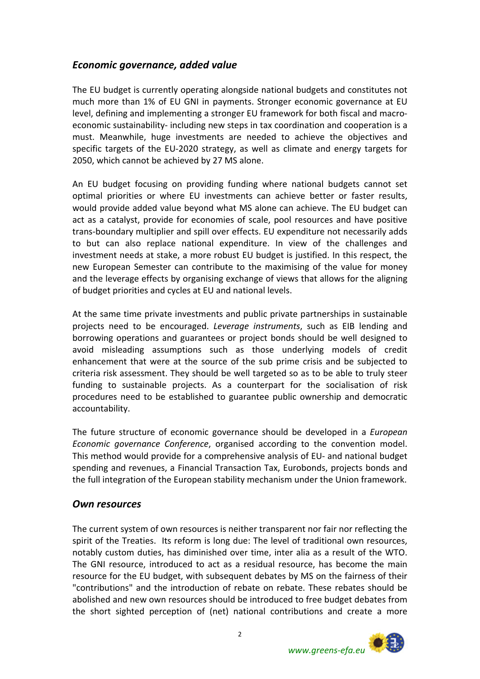### *Economic governance, added value*

The EU budget is currently operating alongside national budgets and constitutes not much more than 1% of EU GNI in payments. Stronger economic governance at EU level, defining and implementing a stronger EU framework for both fiscal and macro‐ economic sustainability‐ including new steps in tax coordination and cooperation is a must. Meanwhile, huge investments are needed to achieve the objectives and specific targets of the EU‐2020 strategy, as well as climate and energy targets for 2050, which cannot be achieved by 27 MS alone.

An EU budget focusing on providing funding where national budgets cannot set optimal priorities or where EU investments can achieve better or faster results, would provide added value beyond what MS alone can achieve. The EU budget can act as a catalyst, provide for economies of scale, pool resources and have positive trans‐boundary multiplier and spill over effects. EU expenditure not necessarily adds to but can also replace national expenditure. In view of the challenges and investment needs at stake, a more robust EU budget is justified. In this respect, the new European Semester can contribute to the maximising of the value for money and the leverage effects by organising exchange of views that allows for the aligning of budget priorities and cycles at EU and national levels.

At the same time private investments and public private partnerships in sustainable projects need to be encouraged. *Leverage instruments*, such as EIB lending and borrowing operations and guarantees or project bonds should be well designed to avoid misleading assumptions such as those underlying models of credit enhancement that were at the source of the sub prime crisis and be subjected to criteria risk assessment. They should be well targeted so as to be able to truly steer funding to sustainable projects. As a counterpart for the socialisation of risk procedures need to be established to guarantee public ownership and democratic accountability.

The future structure of economic governance should be developed in a *European Economic governance Conference*, organised according to the convention model. This method would provide for a comprehensive analysis of EU‐ and national budget spending and revenues, a Financial Transaction Tax, Eurobonds, projects bonds and the full integration of the European stability mechanism under the Union framework.

#### *Own resources*

The current system of own resources is neither transparent nor fair nor reflecting the spirit of the Treaties. Its reform is long due: The level of traditional own resources, notably custom duties, has diminished over time, inter alia as a result of the WTO. The GNI resource, introduced to act as a residual resource, has become the main resource for the EU budget, with subsequent debates by MS on the fairness of their "contributions" and the introduction of rebate on rebate. These rebates should be abolished and new own resources should be introduced to free budget debates from the short sighted perception of (net) national contributions and create a more

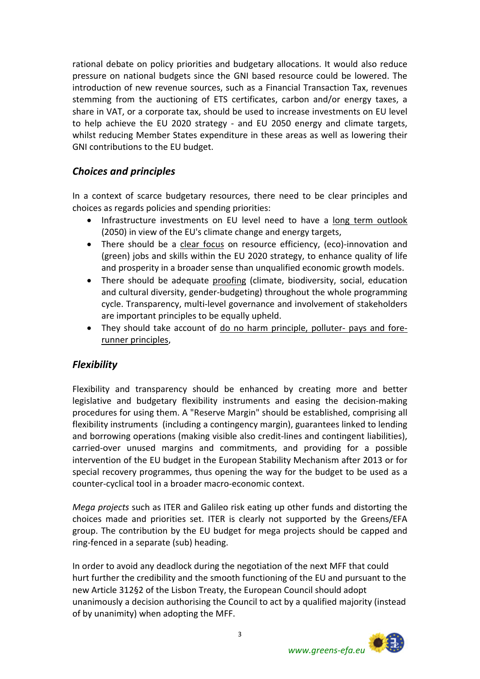rational debate on policy priorities and budgetary allocations. It would also reduce pressure on national budgets since the GNI based resource could be lowered. The introduction of new revenue sources, such as a Financial Transaction Tax, revenues stemming from the auctioning of ETS certificates, carbon and/or energy taxes, a share in VAT, or a corporate tax, should be used to increase investments on EU level to help achieve the EU 2020 strategy - and EU 2050 energy and climate targets, whilst reducing Member States expenditure in these areas as well as lowering their GNI contributions to the EU budget.

### *Choices and principles*

In a context of scarce budgetary resources, there need to be clear principles and choices as regards policies and spending priorities:

- Infrastructure investments on EU level need to have a long term outlook (2050) in view of the EU's climate change and energy targets,
- There should be a clear focus on resource efficiency, (eco)-innovation and (green) jobs and skills within the EU 2020 strategy, to enhance quality of life and prosperity in a broader sense than unqualified economic growth models.
- There should be adequate proofing (climate, biodiversity, social, education and cultural diversity, gender‐budgeting) throughout the whole programming cycle. Transparency, multi‐level governance and involvement of stakeholders are important principles to be equally upheld.
- They should take account of do no harm principle, polluter‐ pays and fore‐ runner principles,

### *Flexibility*

Flexibility and transparency should be enhanced by creating more and better legislative and budgetary flexibility instruments and easing the decision‐making procedures for using them. A "Reserve Margin" should be established, comprising all flexibility instruments (including a contingency margin), guarantees linked to lending and borrowing operations (making visible also credit‐lines and contingent liabilities), carried‐over unused margins and commitments, and providing for a possible intervention of the EU budget in the European Stability Mechanism after 2013 or for special recovery programmes, thus opening the way for the budget to be used as a counter‐cyclical tool in a broader macro‐economic context.

*Mega projects* such as ITER and Galileo risk eating up other funds and distorting the choices made and priorities set. ITER is clearly not supported by the Greens/EFA group. The contribution by the EU budget for mega projects should be capped and ring‐fenced in a separate (sub) heading.

In order to avoid any deadlock during the negotiation of the next MFF that could hurt further the credibility and the smooth functioning of the EU and pursuant to the new Article 312§2 of the Lisbon Treaty, the European Council should adopt unanimously a decision authorising the Council to act by a qualified majority (instead of by unanimity) when adopting the MFF.

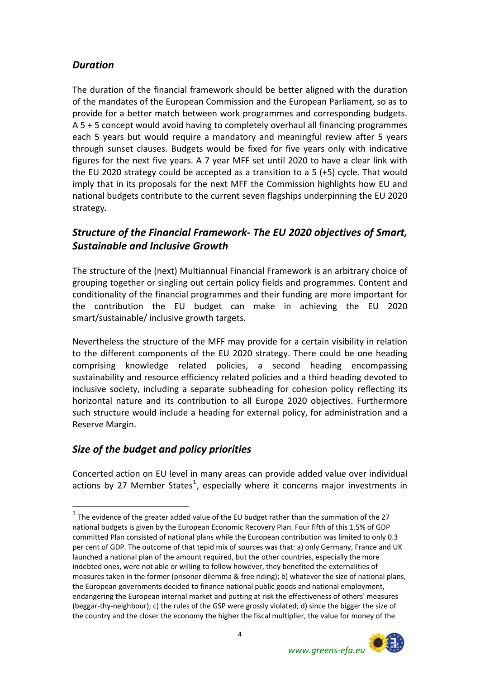# *Duration*

The duration of the financial framework should be better aligned with the duration of the mandates of the European Commission and the European Parliament, so as to provide for a better match between work programmes and corresponding budgets. A 5 + 5 concept would avoid having to completely overhaul all financing programmes each 5 years but would require a mandatory and meaningful review after 5 years through sunset clauses. Budgets would be fixed for five years only with indicative figures for the next five years. A 7 year MFF set until 2020 to have a clear link with the EU 2020 strategy could be accepted as a transition to a 5 (+5) cycle. That would imply that in its proposals for the next MFF the Commission highlights how EU and national budgets contribute to the current seven flagships underpinning the EU 2020 strategy*.*

# *Structure of the Financial Framework‐ The EU 2020 objectives of Smart, Sustainable and Inclusive Growth*

The structure of the (next) Multiannual Financial Framework is an arbitrary choice of grouping together or singling out certain policy fields and programmes. Content and conditionality of the financial programmes and their funding are more important for the contribution the EU budget can make in achieving the EU 2020 smart/sustainable/ inclusive growth targets.

Nevertheless the structure of the MFF may provide for a certain visibility in relation to the different components of the EU 2020 strategy. There could be one heading comprising knowledge related policies, a second heading encompassing sustainability and resource efficiency related policies and a third heading devoted to inclusive society, including a separate subheading for cohesion policy reflecting its horizontal nature and its contribution to all Europe 2020 objectives. Furthermore such structure would include a heading for external policy, for administration and a Reserve Margin.

# *Size of the budget and policy priorities*

 $\overline{a}$ 

Concerted action on EU level in many areas can provide added value over individual actions by 27 Member States<sup>[1](#page-3-0)</sup>, especially where it concerns major investments in

<span id="page-3-0"></span> $1$  The evidence of the greater added value of the EU budget rather than the summation of the 27 national budgets is given by the European Economic Recovery Plan. Four fifth of this 1.5% of GDP committed Plan consisted of national plans while the European contribution was limited to only 0.3 per cent of GDP. The outcome of that tepid mix of sources was that: a) only Germany, France and UK launched a national plan of the amount required, but the other countries, especially the more indebted ones, were not able or willing to follow however, they benefited the externalities of measures taken in the former (prisoner dilemma & free riding); b) whatever the size of national plans, the European governments decided to finance national public goods and national employment, endangering the European internal market and putting at risk the effectiveness of others' measures (beggar‐thy‐neighbour); c) the rules of the GSP were grossly violated; d) since the bigger the size of the country and the closer the economy the higher the fiscal multiplier, the value for money of the

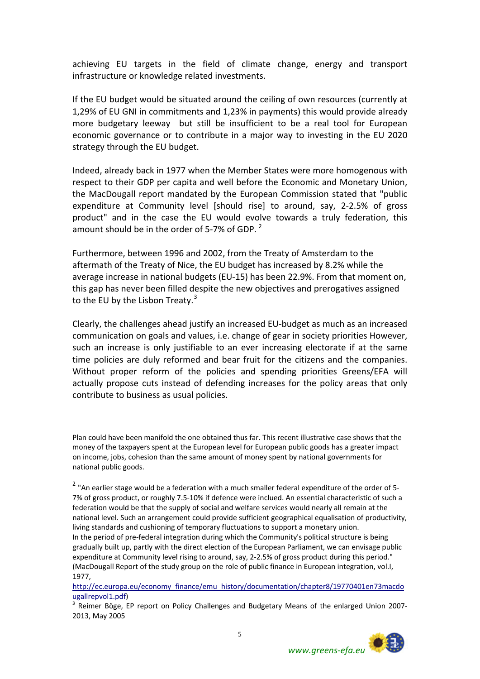achieving EU targets in the field of climate change, energy and transport infrastructure or knowledge related investments.

If the EU budget would be situated around the ceiling of own resources (currently at 1,29% of EU GNI in commitments and 1,23% in payments) this would provide already more budgetary leeway but still be insufficient to be a real tool for European economic governance or to contribute in a major way to investing in the EU 2020 strategy through the EU budget.

Indeed, already back in 1977 when the Member States were more homogenous with respect to their GDP per capita and well before the Economic and Monetary Union, the MacDougall report mandated by the European Commission stated that "public expenditure at Community level [should rise] to around, say, 2‐2.5% of gross product" and in the case the EU would evolve towards a truly federation, this amount should be in the order of 5-7% of GDP.  $2^{\circ}$  $2^{\circ}$ 

Furthermore, between 1996 and 2002, from the Treaty of Amsterdam to the aftermath of the Treaty of Nice, the EU budget has increased by 8.2% while the average increase in national budgets (EU‐15) has been 22.9%. From that moment on, this gap has never been filled despite the new objectives and prerogatives assigned to the EU by the Lisbon Treaty.<sup>[3](#page-4-1)</sup>

Clearly, the challenges ahead justify an increased EU‐budget as much as an increased communication on goals and values, i.e. change of gear in society priorities However, such an increase is only justifiable to an ever increasing electorate if at the same time policies are duly reformed and bear fruit for the citizens and the companies. Without proper reform of the policies and spending priorities Greens/EFA will actually propose cuts instead of defending increases for the policy areas that only contribute to business as usual policies.

Plan could have been manifold the one obtained thus far. This recent illustrative case shows that the money of the taxpayers spent at the European level for European public goods has a greater impact on income, jobs, cohesion than the same amount of money spent by national governments for national public goods.

<u>.</u>

<span id="page-4-0"></span><sup>2</sup> "An earlier stage would be a federation with a much smaller federal expenditure of the order of 5-7% of gross product, or roughly 7.5‐10% if defence were inclued. An essential characteristic of such a federation would be that the supply of social and welfare services would nearly all remain at the national level. Such an arrangement could provide sufficient geographical equalisation of productivity, living standards and cushioning of temporary fluctuations to support a monetary union. In the period of pre‐federal integration during which the Community's political structure is being gradually built up, partly with the direct election of the European Parliament, we can envisage public expenditure at Community level rising to around, say, 2-2.5% of gross product during this period." (MacDougall Report of the study group on the role of public finance in European integration, vol.I, 1977,

<span id="page-4-1"></span><sup>2013,</sup> May 2005



[http://ec.europa.eu/economy\\_finance/emu\\_history/documentation/chapter8/19770401en73macdo](http://ec.europa.eu/economy_finance/emu_history/documentation/chapter8/19770401en73macdougallrepvol1.pdf) [ugallrepvol1.pdf](http://ec.europa.eu/economy_finance/emu_history/documentation/chapter8/19770401en73macdougallrepvol1.pdf))<br> $\frac{3}{3}$  Reimer Böge, EP report on Policy Challenges and Budgetary Means of the enlarged Union 2007-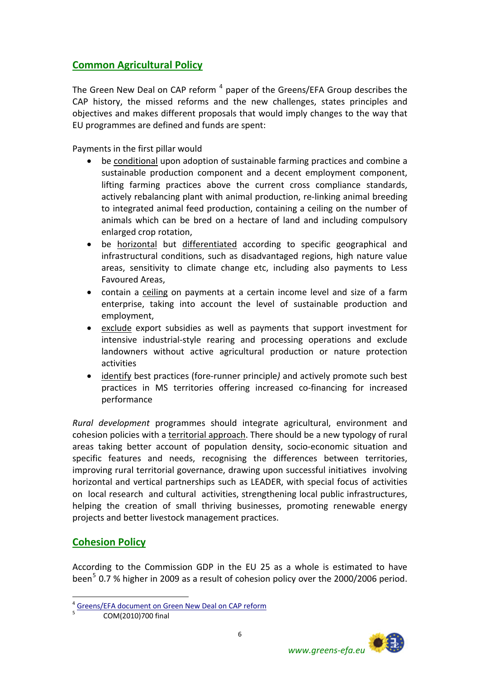## **Common Agricultural Policy**

The Green New Deal on CAP reform  $<sup>4</sup>$  $<sup>4</sup>$  $<sup>4</sup>$  paper of the Greens/EFA Group describes the</sup> CAP history, the missed reforms and the new challenges, states principles and objectives and makes different proposals that would imply changes to the way that EU programmes are defined and funds are spent:

Payments in the first pillar would

- be conditional upon adoption of sustainable farming practices and combine a sustainable production component and a decent employment component, lifting farming practices above the current cross compliance standards, actively rebalancing plant with animal production, re‐linking animal breeding to integrated animal feed production, containing a ceiling on the number of animals which can be bred on a hectare of land and including compulsory enlarged crop rotation,
- be horizontal but differentiated according to specific geographical and infrastructural conditions, such as disadvantaged regions, high nature value areas, sensitivity to climate change etc, including also payments to Less Favoured Areas,
- contain a ceiling on payments at a certain income level and size of a farm enterprise, taking into account the level of sustainable production and employment,
- exclude export subsidies as well as payments that support investment for intensive industrial‐style rearing and processing operations and exclude landowners without active agricultural production or nature protection activities
- identify best practices (fore‐runner principle*)* and actively promote such best practices in MS territories offering increased co-financing for increased performance

*Rural development* programmes should integrate agricultural, environment and cohesion policies with a territorial approach. There should be a new typology of rural areas taking better account of population density, socio-economic situation and specific features and needs, recognising the differences between territories, improving rural territorial governance, drawing upon successful initiatives involving horizontal and vertical partnerships such as LEADER, with special focus of activities on local research and cultural activities, strengthening local public infrastructures, helping the creation of small thriving businesses, promoting renewable energy projects and better livestock management practices.

### **Cohesion Policy**

 $\overline{a}$ 

According to the Commission GDP in the EU 25 as a whole is estimated to have been<sup>[5](#page-5-1)</sup> 0.7 % higher in 2009 as a result of cohesion policy over the 2000/2006 period.



<span id="page-5-1"></span><span id="page-5-0"></span>[Greens/EFA](http://www.greens-efa.eu/fileadmin/dam/Documents/Policy_papers/Final%20Green%20Deal%20CAP%20reform%20group%20position%20paper.pdf) document on Green New Deal on CAP reform

COM(2010)700 final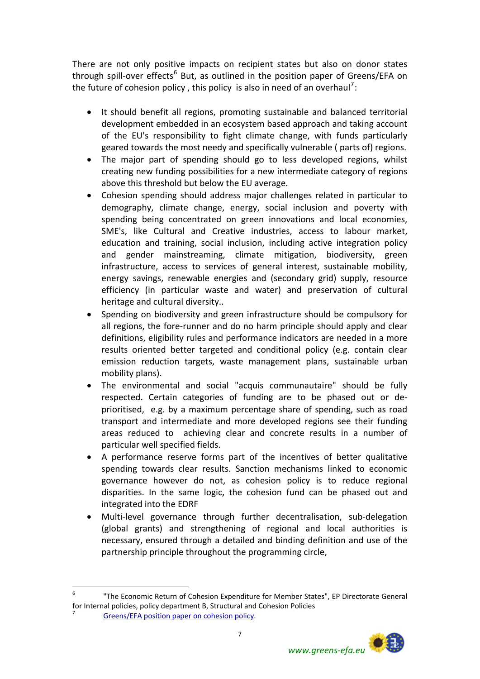There are not only positive impacts on recipient states but also on donor states through spill-over effects<sup>[6](#page-6-0)</sup> But, as outlined in the position paper of Greens/EFA on the future of cohesion policy, this policy is also in need of an overhaul<sup>7</sup>:

- It should benefit all regions, promoting sustainable and balanced territorial development embedded in an ecosystem based approach and taking account of the EU's responsibility to fight climate change, with funds particularly geared towards the most needy and specifically vulnerable ( parts of) regions.
- The major part of spending should go to less developed regions, whilst creating new funding possibilities for a new intermediate category of regions above this threshold but below the EU average.
- Cohesion spending should address major challenges related in particular to demography, climate change, energy, social inclusion and poverty with spending being concentrated on green innovations and local economies, SME's, like Cultural and Creative industries, access to labour market, education and training, social inclusion, including active integration policy and gender mainstreaming, climate mitigation, biodiversity, green infrastructure, access to services of general interest, sustainable mobility, energy savings, renewable energies and (secondary grid) supply, resource efficiency (in particular waste and water) and preservation of cultural heritage and cultural diversity..
- Spending on biodiversity and green infrastructure should be compulsory for all regions, the fore‐runner and do no harm principle should apply and clear definitions, eligibility rules and performance indicators are needed in a more results oriented better targeted and conditional policy (e.g. contain clear emission reduction targets, waste management plans, sustainable urban mobility plans).
- The environmental and social "acquis communautaire" should be fully respected. Certain categories of funding are to be phased out or de‐ prioritised, e.g. by a maximum percentage share of spending, such as road transport and intermediate and more developed regions see their funding areas reduced to achieving clear and concrete results in a number of particular well specified fields.
- A performance reserve forms part of the incentives of better qualitative spending towards clear results. Sanction mechanisms linked to economic governance however do not, as cohesion policy is to reduce regional disparities. In the same logic, the cohesion fund can be phased out and integrated into the EDRF
- Multi-level governance through further decentralisation, sub-delegation (global grants) and strengthening of regional and local authorities is necessary, ensured through a detailed and binding definition and use of the partnership principle throughout the programming circle,

 $\overline{a}$ 



<span id="page-6-0"></span><sup>6</sup> "The Economic Return of Cohesion Expenditure for Member States", EP Directorate General for Internal policies, policy department B, Structural and Cohesion Policies <sup>7</sup> [Greens/EFA](http://www.greens-efa.eu/fileadmin/dam/Documents/Policy_papers/Position%20GreensEFA%20110405_Future%20of%20Cohesion%20Policy.pdf) position paper on cohesion policy.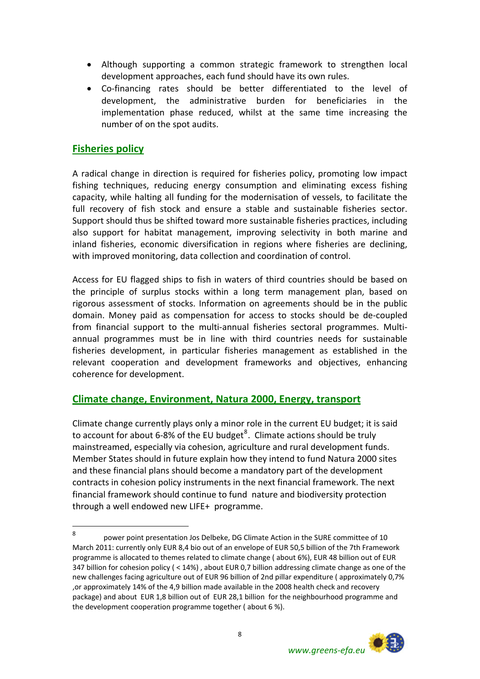- Although supporting a common strategic framework to strengthen local development approaches, each fund should have its own rules.
- Co-financing rates should be better differentiated to the level of development, the administrative burden for beneficiaries in the implementation phase reduced, whilst at the same time increasing the number of on the spot audits.

#### **Fisheries policy**

 $\overline{a}$ 

A radical change in direction is required for fisheries policy, promoting low impact fishing techniques, reducing energy consumption and eliminating excess fishing capacity, while halting all funding for the modernisation of vessels, to facilitate the full recovery of fish stock and ensure a stable and sustainable fisheries sector. Support should thus be shifted toward more sustainable fisheries practices, including also support for habitat management, improving selectivity in both marine and inland fisheries, economic diversification in regions where fisheries are declining, with improved monitoring, data collection and coordination of control.

Access for EU flagged ships to fish in waters of third countries should be based on the principle of surplus stocks within a long term management plan, based on rigorous assessment of stocks. Information on agreements should be in the public domain. Money paid as compensation for access to stocks should be de‐coupled from financial support to the multi-annual fisheries sectoral programmes. Multiannual programmes must be in line with third countries needs for sustainable fisheries development, in particular fisheries management as established in the relevant cooperation and development frameworks and objectives, enhancing coherence for development.

#### **Climate change, Environment, Natura 2000, Energy, transport**

Climate change currently plays only a minor role in the current EU budget; it is said to account for about 6-[8](#page-7-0)% of the EU budget ${}^{8}$ . Climate actions should be truly mainstreamed, especially via cohesion, agriculture and rural development funds. Member States should in future explain how they intend to fund Natura 2000 sites and these financial plans should become a mandatory part of the development contracts in cohesion policy instruments in the next financial framework. The next financial framework should continue to fund nature and biodiversity protection through a well endowed new LIFE+ programme.

<span id="page-7-0"></span><sup>8</sup> power point presentation Jos Delbeke, DG Climate Action in the SURE committee of 10 March 2011: currently only EUR 8,4 bio out of an envelope of EUR 50,5 billion of the 7th Framework programme is allocated to themes related to climate change ( about 6%), EUR 48 billion out of EUR 347 billion for cohesion policy ( < 14%) , about EUR 0,7 billion addressing climate change as one of the new challenges facing agriculture out of EUR 96 billion of 2nd pillar expenditure ( approximately 0,7% ,or approximately 14% of the 4,9 billion made available in the 2008 health check and recovery package) and about EUR 1,8 billion out of EUR 28,1 billion for the neighbourhood programme and the development cooperation programme together ( about 6 %).

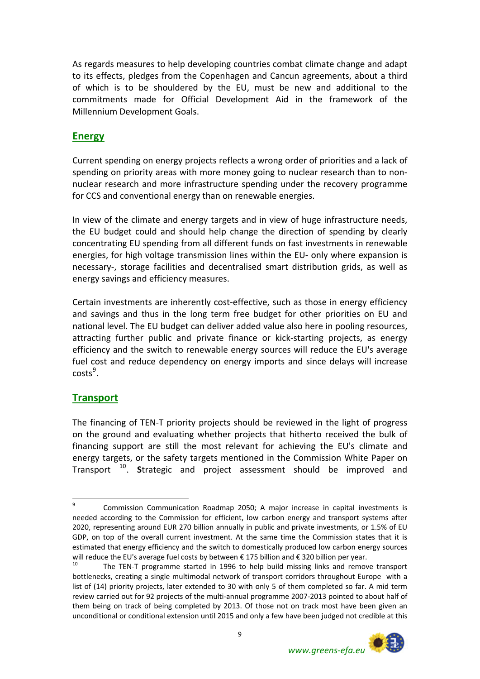As regards measures to help developing countries combat climate change and adapt to its effects, pledges from the Copenhagen and Cancun agreements, about a third of which is to be shouldered by the EU, must be new and additional to the commitments made for Official Development Aid in the framework of the Millennium Development Goals.

### **Energy**

Current spending on energy projects reflects a wrong order of priorities and a lack of spending on priority areas with more money going to nuclear research than to non‐ nuclear research and more infrastructure spending under the recovery programme for CCS and conventional energy than on renewable energies.

In view of the climate and energy targets and in view of huge infrastructure needs, the EU budget could and should help change the direction of spending by clearly concentrating EU spending from all different funds on fast investments in renewable energies, for high voltage transmission lines within the EU‐ only where expansion is necessary‐, storage facilities and decentralised smart distribution grids, as well as energy savings and efficiency measures.

Certain investments are inherently cost‐effective, such as those in energy efficiency and savings and thus in the long term free budget for other priorities on EU and national level. The EU budget can deliver added value also here in pooling resources, attracting further public and private finance or kick‐starting projects, as energy efficiency and the switch to renewable energy sources will reduce the EU's average fuel cost and reduce dependency on energy imports and since delays will increase  $costs<sup>9</sup>$  $costs<sup>9</sup>$  $costs<sup>9</sup>$ .

### **Transport**

The financing of TEN‐T priority projects should be reviewed in the light of progress on the ground and evaluating whether projects that hitherto received the bulk of financing support are still the most relevant for achieving the EU's climate and energy targets, or the safety targets mentioned in the Commission White Paper on Transport [10](#page-8-1). **S**trategic and project assessment should be improved and

<span id="page-8-1"></span>bottlenecks, creating a single multimodal network of transport corridors throughout Europe with a list of (14) priority projects, later extended to 30 with only 5 of them completed so far. A mid term review carried out for 92 projects of the multi-annual programme 2007-2013 pointed to about half of them being on track of being completed by 2013. Of those not on track most have been given an unconditional or conditional extension until 2015 and only a few have been judged not credible at this



<span id="page-8-0"></span> 9 Commission Communication Roadmap 2050; A major increase in capital investments is needed according to the Commission for efficient, low carbon energy and transport systems after 2020, representing around EUR 270 billion annually in public and private investments, or 1.5% of EU GDP, on top of the overall current investment. At the same time the Commission states that it is estimated that energy efficiency and the switch to domestically produced low carbon energy sources will reduce the EU's average fuel costs by between  $\epsilon$  175 billion and  $\epsilon$  320 billion per year.<br><sup>10</sup> The TEN-T programme started in 1996 to help build missing links and remove transport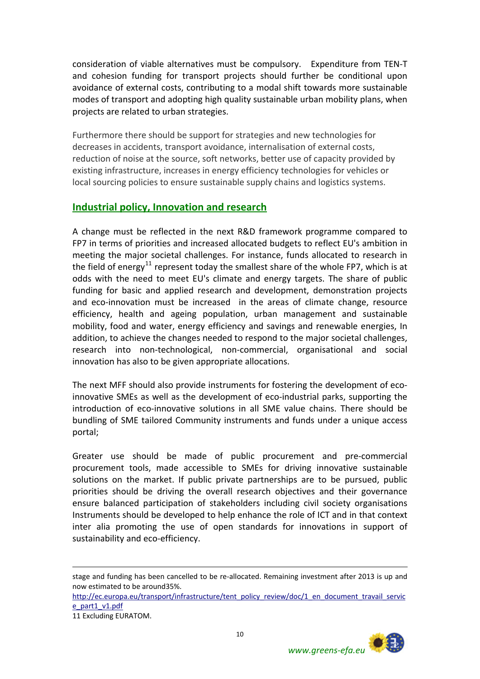consideration of viable alternatives must be compulsory. Expenditure from TEN‐T and cohesion funding for transport projects should further be conditional upon avoidance of external costs, contributing to a modal shift towards more sustainable modes of transport and adopting high quality sustainable urban mobility plans, when projects are related to urban strategies.

Furthermore there should be support for strategies and new technologies for decreases in accidents, transport avoidance, internalisation of external costs, reduction of noise at the source, soft networks, better use of capacity provided by existing infrastructure, increases in energy efficiency technologies for vehicles or local sourcing policies to ensure sustainable supply chains and logistics systems.

#### **Industrial policy, Innovation and research**

A change must be reflected in the next R&D framework programme compared to FP7 in terms of priorities and increased allocated budgets to reflect EU's ambition in meeting the major societal challenges. For instance, funds allocated to research in the field of energy<sup>[11](#page-9-0)</sup> represent today the smallest share of the whole FP7, which is at odds with the need to meet EU's climate and energy targets. The share of public funding for basic and applied research and development, demonstration projects and eco-innovation must be increased in the areas of climate change, resource efficiency, health and ageing population, urban management and sustainable mobility, food and water, energy efficiency and savings and renewable energies, In addition, to achieve the changes needed to respond to the major societal challenges, research into non‐technological, non‐commercial, organisational and social innovation has also to be given appropriate allocations.

The next MFF should also provide instruments for fostering the development of ecoinnovative SMEs as well as the development of eco-industrial parks, supporting the introduction of eco-innovative solutions in all SME value chains. There should be bundling of SME tailored Community instruments and funds under a unique access portal;

Greater use should be made of public procurement and pre‐commercial procurement tools, made accessible to SMEs for driving innovative sustainable solutions on the market. If public private partnerships are to be pursued, public priorities should be driving the overall research objectives and their governance ensure balanced participation of stakeholders including civil society organisations Instruments should be developed to help enhance the role of ICT and in that context inter alia promoting the use of open standards for innovations in support of sustainability and eco-efficiency.

1



stage and funding has been cancelled to be re-allocated. Remaining investment after 2013 is up and now estimated to be around35%.

[http://ec.europa.eu/transport/infrastructure/tent\\_policy\\_review/doc/1\\_en\\_document\\_travail\\_servic](http://ec.europa.eu/transport/infrastructure/tent_policy_review/doc/1_en_document_travail_service_part1_v1.pdf) [e\\_part1\\_v1.pdf](http://ec.europa.eu/transport/infrastructure/tent_policy_review/doc/1_en_document_travail_service_part1_v1.pdf)

<span id="page-9-0"></span><sup>11</sup> Excluding EURATOM.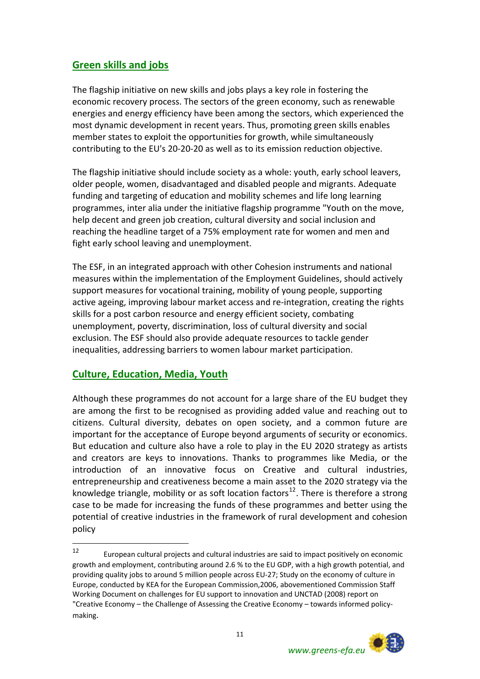# **Green skills and jobs**

The flagship initiative on new skills and jobs plays a key role in fostering the economic recovery process. The sectors of the green economy, such as renewable energies and energy efficiency have been among the sectors, which experienced the most dynamic development in recent years. Thus, promoting green skills enables member states to exploit the opportunities for growth, while simultaneously contributing to the EU's 20‐20‐20 as well as to its emission reduction objective.

The flagship initiative should include society as a whole: youth, early school leavers, older people, women, disadvantaged and disabled people and migrants. Adequate funding and targeting of education and mobility schemes and life long learning programmes, inter alia under the initiative flagship programme "Youth on the move, help decent and green job creation, cultural diversity and social inclusion and reaching the headline target of a 75% employment rate for women and men and fight early school leaving and unemployment.

The ESF, in an integrated approach with other Cohesion instruments and national measures within the implementation of the Employment Guidelines, should actively support measures for vocational training, mobility of young people, supporting active ageing, improving labour market access and re‐integration, creating the rights skills for a post carbon resource and energy efficient society, combating unemployment, poverty, discrimination, loss of cultural diversity and social exclusion. The ESF should also provide adequate resources to tackle gender inequalities, addressing barriers to women labour market participation.

#### **Culture, Education, Media, Youth**

Although these programmes do not account for a large share of the EU budget they are among the first to be recognised as providing added value and reaching out to citizens. Cultural diversity, debates on open society, and a common future are important for the acceptance of Europe beyond arguments of security or economics. But education and culture also have a role to play in the EU 2020 strategy as artists and creators are keys to innovations. Thanks to programmes like Media, or the introduction of an innovative focus on Creative and cultural industries, entrepreneurship and creativeness become a main asset to the 2020 strategy via the knowledge triangle, mobility or as soft location factors<sup>[12](#page-10-0)</sup>. There is therefore a strong case to be made for increasing the funds of these programmes and better using the potential of creative industries in the framework of rural development and cohesion policy

<span id="page-10-0"></span> $12$ <sup>12</sup> European cultural projects and cultural industries are said to impact positively on economic growth and employment, contributing around 2.6 % to the EU GDP, with a high growth potential, and providing quality jobs to around 5 million people across EU‐27; Study on the economy of culture in Europe, conducted by KEA for the European Commission,2006, abovementioned Commission Staff Working Document on challenges for EU support to innovation and UNCTAD (2008) report on "Creative Economy – the Challenge of Assessing the Creative Economy – towards informed policy‐ making.

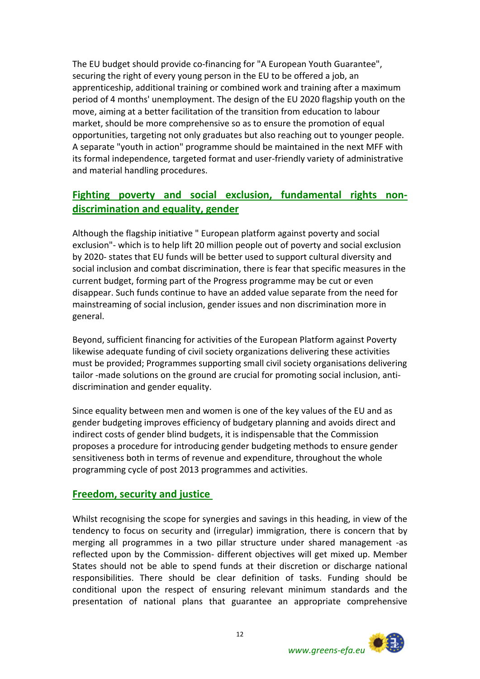The EU budget should provide co-financing for "A European Youth Guarantee", securing the right of every young person in the EU to be offered a job, an apprenticeship, additional training or combined work and training after a maximum period of 4 months' unemployment. The design of the EU 2020 flagship youth on the move, aiming at a better facilitation of the transition from education to labour market, should be more comprehensive so as to ensure the promotion of equal opportunities, targeting not only graduates but also reaching out to younger people. A separate "youth in action" programme should be maintained in the next MFF with its formal independence, targeted format and user‐friendly variety of administrative and material handling procedures.

## **Fighting poverty and social exclusion, fundamental rights non‐ discrimination and equality, gender**

Although the flagship initiative " European platform against poverty and social exclusion"‐ which is to help lift 20 million people out of poverty and social exclusion by 2020‐ states that EU funds will be better used to support cultural diversity and social inclusion and combat discrimination, there is fear that specific measures in the current budget, forming part of the Progress programme may be cut or even disappear. Such funds continue to have an added value separate from the need for mainstreaming of social inclusion, gender issues and non discrimination more in general.

Beyond, sufficient financing for activities of the European Platform against Poverty likewise adequate funding of civil society organizations delivering these activities must be provided; Programmes supporting small civil society organisations delivering tailor -made solutions on the ground are crucial for promoting social inclusion, antidiscrimination and gender equality.

Since equality between men and women is one of the key values of the EU and as gender budgeting improves efficiency of budgetary planning and avoids direct and indirect costs of gender blind budgets, it is indispensable that the Commission proposes a procedure for introducing gender budgeting methods to ensure gender sensitiveness both in terms of revenue and expenditure, throughout the whole programming cycle of post 2013 programmes and activities.

#### **Freedom, security and justice**

Whilst recognising the scope for synergies and savings in this heading, in view of the tendency to focus on security and (irregular) immigration, there is concern that by merging all programmes in a two pillar structure under shared management ‐as reflected upon by the Commission‐ different objectives will get mixed up. Member States should not be able to spend funds at their discretion or discharge national responsibilities. There should be clear definition of tasks. Funding should be conditional upon the respect of ensuring relevant minimum standards and the presentation of national plans that guarantee an appropriate comprehensive

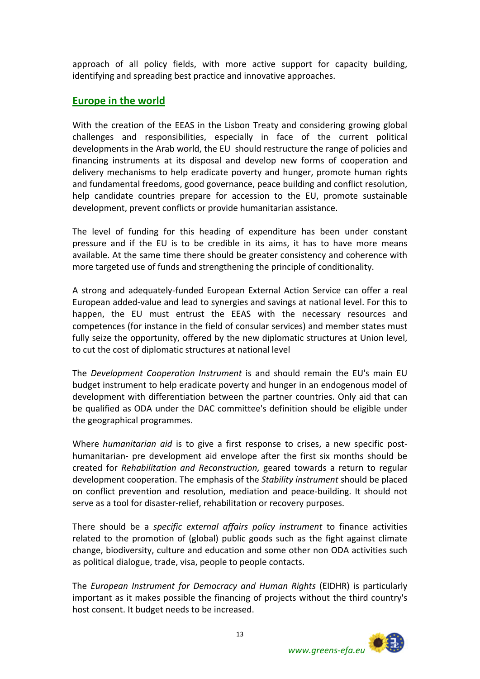approach of all policy fields, with more active support for capacity building, identifying and spreading best practice and innovative approaches.

### **Europe in the world**

With the creation of the EEAS in the Lisbon Treaty and considering growing global challenges and responsibilities, especially in face of the current political developments in the Arab world, the EU should restructure the range of policies and financing instruments at its disposal and develop new forms of cooperation and delivery mechanisms to help eradicate poverty and hunger, promote human rights and fundamental freedoms, good governance, peace building and conflict resolution, help candidate countries prepare for accession to the EU, promote sustainable development, prevent conflicts or provide humanitarian assistance.

The level of funding for this heading of expenditure has been under constant pressure and if the EU is to be credible in its aims, it has to have more means available. At the same time there should be greater consistency and coherence with more targeted use of funds and strengthening the principle of conditionality.

A strong and adequately‐funded European External Action Service can offer a real European added‐value and lead to synergies and savings at national level. For this to happen, the EU must entrust the EEAS with the necessary resources and competences (for instance in the field of consular services) and member states must fully seize the opportunity, offered by the new diplomatic structures at Union level, to cut the cost of diplomatic structures at national level

The *Development Cooperation Instrument* is and should remain the EU's main EU budget instrument to help eradicate poverty and hunger in an endogenous model of development with differentiation between the partner countries. Only aid that can be qualified as ODA under the DAC committee's definition should be eligible under the geographical programmes.

Where *humanitarian aid* is to give a first response to crises, a new specific post‐ humanitarian‐ pre development aid envelope after the first six months should be created for *Rehabilitation and Reconstruction,* geared towards a return to regular development cooperation. The emphasis of the *Stability instrument* should be placed on conflict prevention and resolution, mediation and peace‐building. It should not serve as a tool for disaster‐relief, rehabilitation or recovery purposes.

There should be a *specific external affairs policy instrument* to finance activities related to the promotion of (global) public goods such as the fight against climate change, biodiversity, culture and education and some other non ODA activities such as political dialogue, trade, visa, people to people contacts.

The *European Instrument for Democracy and Human Rights* (EIDHR) is particularly important as it makes possible the financing of projects without the third country's host consent. It budget needs to be increased.